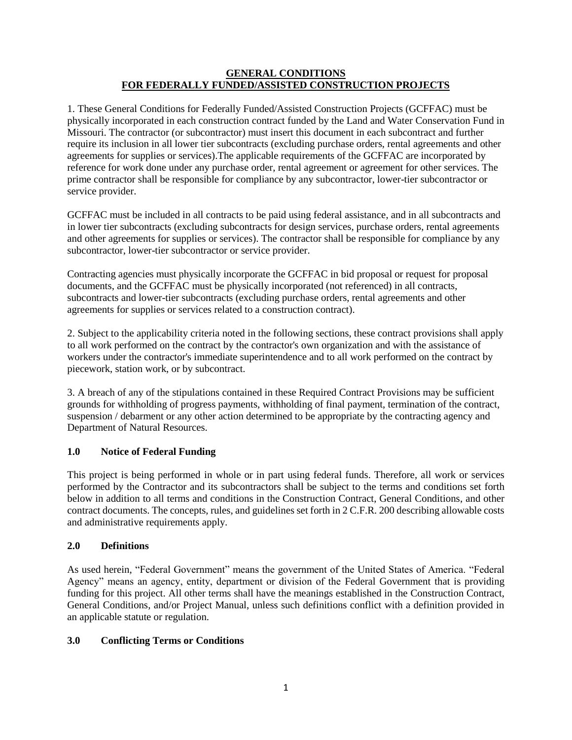#### **GENERAL CONDITIONS FOR FEDERALLY FUNDED/ASSISTED CONSTRUCTION PROJECTS**

1. These General Conditions for Federally Funded/Assisted Construction Projects (GCFFAC) must be physically incorporated in each construction contract funded by the Land and Water Conservation Fund in Missouri. The contractor (or subcontractor) must insert this document in each subcontract and further require its inclusion in all lower tier subcontracts (excluding purchase orders, rental agreements and other agreements for supplies or services).The applicable requirements of the GCFFAC are incorporated by reference for work done under any purchase order, rental agreement or agreement for other services. The prime contractor shall be responsible for compliance by any subcontractor, lower-tier subcontractor or service provider.

GCFFAC must be included in all contracts to be paid using federal assistance, and in all subcontracts and in lower tier subcontracts (excluding subcontracts for design services, purchase orders, rental agreements and other agreements for supplies or services). The contractor shall be responsible for compliance by any subcontractor, lower-tier subcontractor or service provider.

Contracting agencies must physically incorporate the GCFFAC in bid proposal or request for proposal documents, and the GCFFAC must be physically incorporated (not referenced) in all contracts, subcontracts and lower-tier subcontracts (excluding purchase orders, rental agreements and other agreements for supplies or services related to a construction contract).

2. Subject to the applicability criteria noted in the following sections, these contract provisions shall apply to all work performed on the contract by the contractor's own organization and with the assistance of workers under the contractor's immediate superintendence and to all work performed on the contract by piecework, station work, or by subcontract.

3. A breach of any of the stipulations contained in these Required Contract Provisions may be sufficient grounds for withholding of progress payments, withholding of final payment, termination of the contract, suspension / debarment or any other action determined to be appropriate by the contracting agency and Department of Natural Resources.

### **1.0 Notice of Federal Funding**

This project is being performed in whole or in part using federal funds. Therefore, all work or services performed by the Contractor and its subcontractors shall be subject to the terms and conditions set forth below in addition to all terms and conditions in the Construction Contract, General Conditions, and other contract documents. The concepts, rules, and guidelines set forth in 2 C.F.R. 200 describing allowable costs and administrative requirements apply.

### **2.0 Definitions**

As used herein, "Federal Government" means the government of the United States of America. "Federal Agency" means an agency, entity, department or division of the Federal Government that is providing funding for this project. All other terms shall have the meanings established in the Construction Contract, General Conditions, and/or Project Manual, unless such definitions conflict with a definition provided in an applicable statute or regulation.

### **3.0 Conflicting Terms or Conditions**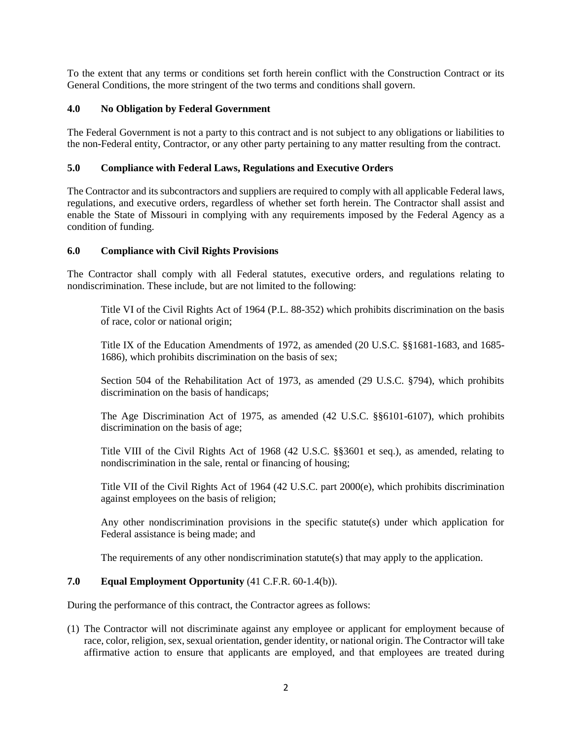To the extent that any terms or conditions set forth herein conflict with the Construction Contract or its General Conditions, the more stringent of the two terms and conditions shall govern.

### **4.0 No Obligation by Federal Government**

The Federal Government is not a party to this contract and is not subject to any obligations or liabilities to the non-Federal entity, Contractor, or any other party pertaining to any matter resulting from the contract.

### **5.0 Compliance with Federal Laws, Regulations and Executive Orders**

The Contractor and its subcontractors and suppliers are required to comply with all applicable Federal laws, regulations, and executive orders, regardless of whether set forth herein. The Contractor shall assist and enable the State of Missouri in complying with any requirements imposed by the Federal Agency as a condition of funding.

### **6.0 Compliance with Civil Rights Provisions**

The Contractor shall comply with all Federal statutes, executive orders, and regulations relating to nondiscrimination. These include, but are not limited to the following:

Title VI of the Civil Rights Act of 1964 (P.L. 88-352) which prohibits discrimination on the basis of race, color or national origin;

Title IX of the Education Amendments of 1972, as amended (20 U.S.C. §§1681-1683, and 1685- 1686), which prohibits discrimination on the basis of sex;

Section 504 of the Rehabilitation Act of 1973, as amended (29 U.S.C. §794), which prohibits discrimination on the basis of handicaps;

The Age Discrimination Act of 1975, as amended (42 U.S.C. §§6101-6107), which prohibits discrimination on the basis of age;

Title VIII of the Civil Rights Act of 1968 (42 U.S.C. §§3601 et seq.), as amended, relating to nondiscrimination in the sale, rental or financing of housing;

Title VII of the Civil Rights Act of 1964 (42 U.S.C. part 2000(e), which prohibits discrimination against employees on the basis of religion;

Any other nondiscrimination provisions in the specific statute(s) under which application for Federal assistance is being made; and

The requirements of any other nondiscrimination statute(s) that may apply to the application.

### **7.0 Equal Employment Opportunity** (41 C.F.R. 60-1.4(b)).

During the performance of this contract, the Contractor agrees as follows:

(1) The Contractor will not discriminate against any employee or applicant for employment because of race, color, religion, sex, sexual orientation, gender identity, or national origin. The Contractor will take affirmative action to ensure that applicants are employed, and that employees are treated during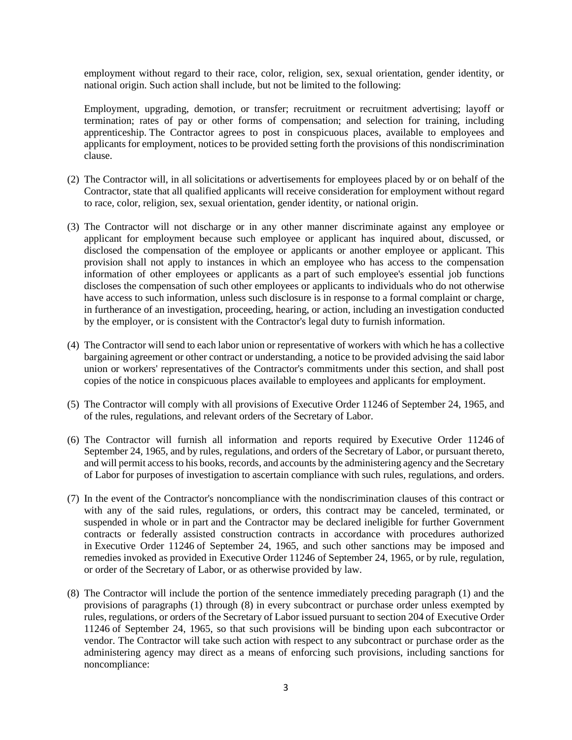employment without regard to their race, color, religion, sex, sexual orientation, gender identity, or national origin. Such action shall include, but not be limited to the following:

Employment, upgrading, demotion, or transfer; recruitment or recruitment advertising; layoff or termination; rates of pay or other forms of compensation; and selection for training, including apprenticeship. The Contractor agrees to post in conspicuous places, available to employees and applicants for employment, notices to be provided setting forth the provisions of this nondiscrimination clause.

- (2) The Contractor will, in all solicitations or advertisements for employees placed by or on behalf of the Contractor, state that all qualified applicants will receive consideration for employment without regard to race, color, religion, sex, sexual orientation, gender identity, or national origin.
- (3) The Contractor will not discharge or in any other manner discriminate against any employee or applicant for employment because such employee or applicant has inquired about, discussed, or disclosed the compensation of the employee or applicants or another employee or applicant. This provision shall not apply to instances in which an employee who has access to the compensation information of other employees or applicants as a part of such employee's essential job functions discloses the compensation of such other employees or applicants to individuals who do not otherwise have access to such information, unless such disclosure is in response to a formal complaint or charge, in furtherance of an investigation, proceeding, hearing, or action, including an investigation conducted by the employer, or is consistent with the Contractor's legal duty to furnish information.
- (4) The Contractor will send to each labor union or representative of workers with which he has a collective bargaining agreement or other contract or understanding, a notice to be provided advising the said labor union or workers' representatives of the Contractor's commitments under this section, and shall post copies of the notice in conspicuous places available to employees and applicants for employment.
- (5) The Contractor will comply with all provisions of [Executive Order 11246](https://1.next.westlaw.com/Link/Document/FullText?findType=Y&serNum=1965078314&pubNum=0001043&originatingDoc=NED246E60589411E5B5F6DD50F6DEFBEE&refType=CA&originationContext=document&transitionType=DocumentItem&contextData=(sc.Search)) of September 24, 1965, and of the rules, regulations, and relevant orders of the Secretary of Labor.
- (6) The Contractor will furnish all information and reports required by [Executive Order 11246](https://1.next.westlaw.com/Link/Document/FullText?findType=Y&serNum=1965078314&pubNum=0001043&originatingDoc=NED246E60589411E5B5F6DD50F6DEFBEE&refType=CA&originationContext=document&transitionType=DocumentItem&contextData=(sc.Search)) of September 24, 1965, and by rules, regulations, and orders of the Secretary of Labor, or pursuant thereto, and will permit access to his books, records, and accounts by the administering agency and the Secretary of Labor for purposes of investigation to ascertain compliance with such rules, regulations, and orders.
- (7) In the event of the Contractor's noncompliance with the nondiscrimination clauses of this contract or with any of the said rules, regulations, or orders, this contract may be canceled, terminated, or suspended in whole or in part and the Contractor may be declared ineligible for further Government contracts or federally assisted construction contracts in accordance with procedures authorized in [Executive Order 11246](https://1.next.westlaw.com/Link/Document/FullText?findType=Y&serNum=1965078314&pubNum=0001043&originatingDoc=NED246E60589411E5B5F6DD50F6DEFBEE&refType=CA&originationContext=document&transitionType=DocumentItem&contextData=(sc.Search)) of September 24, 1965, and such other sanctions may be imposed and remedies invoked as provided in [Executive Order 11246](https://1.next.westlaw.com/Link/Document/FullText?findType=Y&serNum=1965078314&pubNum=0001043&originatingDoc=NED246E60589411E5B5F6DD50F6DEFBEE&refType=CA&originationContext=document&transitionType=DocumentItem&contextData=(sc.Search)) of September 24, 1965, or by rule, regulation, or order of the Secretary of Labor, or as otherwise provided by law.
- (8) The Contractor will include the portion of the sentence immediately preceding paragraph (1) and the provisions of paragraphs (1) through (8) in every subcontract or purchase order unless exempted by rules, regulations, or orders of the Secretary of Labor issued pursuant to section 204 of [Executive Order](https://1.next.westlaw.com/Link/Document/FullText?findType=Y&serNum=1965078314&pubNum=0001043&originatingDoc=NED246E60589411E5B5F6DD50F6DEFBEE&refType=CA&originationContext=document&transitionType=DocumentItem&contextData=(sc.Search))  [11246](https://1.next.westlaw.com/Link/Document/FullText?findType=Y&serNum=1965078314&pubNum=0001043&originatingDoc=NED246E60589411E5B5F6DD50F6DEFBEE&refType=CA&originationContext=document&transitionType=DocumentItem&contextData=(sc.Search)) of September 24, 1965, so that such provisions will be binding upon each subcontractor or vendor. The Contractor will take such action with respect to any subcontract or purchase order as the administering agency may direct as a means of enforcing such provisions, including sanctions for noncompliance: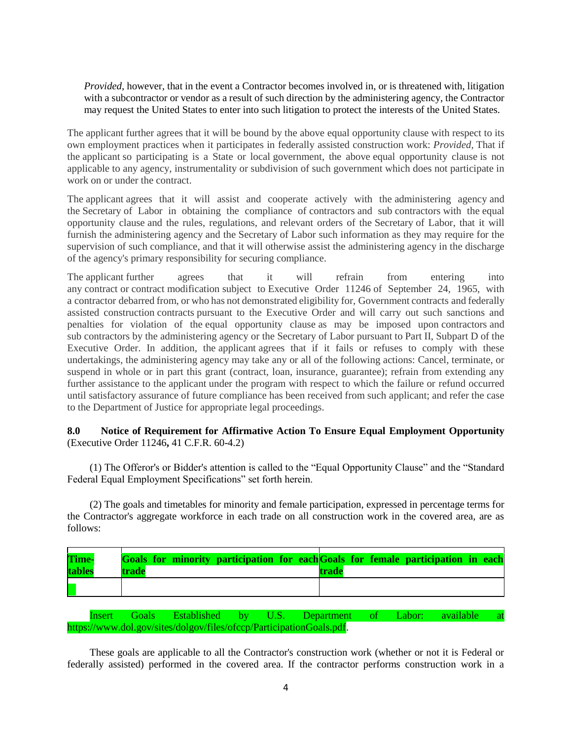*Provided*, however, that in the event a Contractor becomes involved in, or is threatened with, litigation with a subcontractor or vendor as a result of such direction by the administering agency, the Contractor may request the United States to enter into such litigation to protect the interests of the United States.

The applicant further agrees that it will be bound by the above equal opportunity clause with respect to its own employment practices when it participates in federally assisted construction work: *Provided,* That if the applicant so participating is a State or local government, the above equal opportunity clause is not applicable to any agency, instrumentality or subdivision of such government which does not participate in work on or under the contract.

The applicant agrees that it will assist and cooperate actively with the administering agency and the Secretary of Labor in obtaining the compliance of contractors and sub contractors with the equal opportunity clause and the rules, regulations, and relevant orders of the Secretary of Labor, that it will furnish the administering agency and the Secretary of Labor such information as they may require for the supervision of such compliance, and that it will otherwise assist the administering agency in the discharge of the agency's primary responsibility for securing compliance.

The applicant further agrees that it will refrain from entering into any contract or contract modification subject to Executive Order 11246 of September 24, 1965, with a contractor debarred from, or who has not demonstrated eligibility for, Government contracts and federally assisted construction contracts pursuant to the Executive Order and will carry out such sanctions and penalties for violation of the equal opportunity clause as may be imposed upon contractors and sub contractors by the administering agency or the Secretary of Labor pursuant to Part II, Subpart D of the Executive Order. In addition, the applicant agrees that if it fails or refuses to comply with these undertakings, the administering agency may take any or all of the following actions: Cancel, terminate, or suspend in whole or in part this grant (contract, loan, insurance, guarantee); refrain from extending any further assistance to the applicant under the program with respect to which the failure or refund occurred until satisfactory assurance of future compliance has been received from such applicant; and refer the case to the Department of Justice for appropriate legal proceedings.

#### **8.0 Notice of Requirement for Affirmative Action To Ensure Equal Employment Opportunity**  (Executive Order 11246**,** 41 C.F.R. 60-4.2)

(1) The Offeror's or Bidder's attention is called to the "Equal Opportunity Clause" and the "Standard Federal Equal Employment Specifications" set forth herein.

(2) The goals and timetables for minority and female participation, expressed in percentage terms for the Contractor's aggregate workforce in each trade on all construction work in the covered area, are as follows:

| Time-  |       |  | Goals for minority participation for each Goals for female participation in each |  |       |  |  |  |
|--------|-------|--|----------------------------------------------------------------------------------|--|-------|--|--|--|
| tables | trade |  |                                                                                  |  | trade |  |  |  |
|        |       |  |                                                                                  |  |       |  |  |  |

Insert Goals Established by U.S. Department of Labor: available at https://www.dol.gov/sites/dolgov/files/ofccp/ParticipationGoals.pdf.

These goals are applicable to all the Contractor's construction work (whether or not it is Federal or federally assisted) performed in the covered area. If the contractor performs construction work in a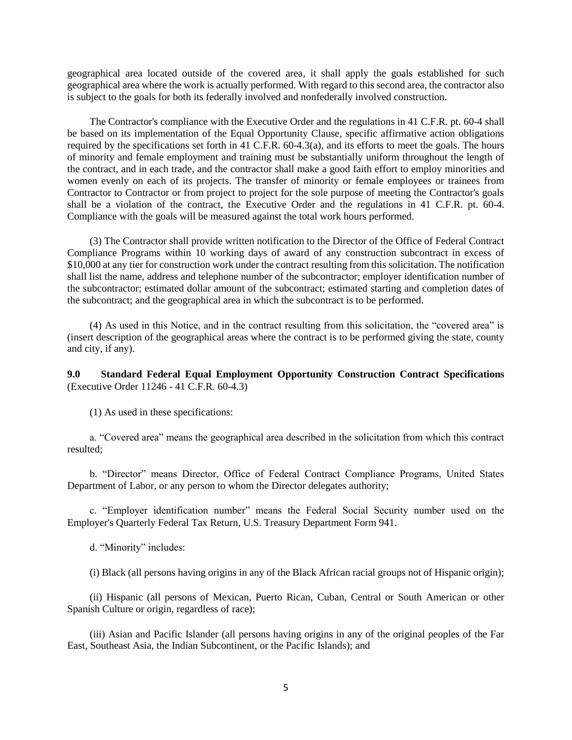geographical area located outside of the covered area, it shall apply the goals established for such geographical area where the work is actually performed. With regard to this second area, the contractor also is subject to the goals for both its federally involved and nonfederally involved construction.

The Contractor's compliance with the Executive Order and the regulations in 41 C.F.R. pt. 60-4 shall be based on its implementation of the Equal Opportunity Clause, specific affirmative action obligations required by the specifications set forth in 41 C.F.R. 60-4.3(a), and its efforts to meet the goals. The hours of minority and female employment and training must be substantially uniform throughout the length of the contract, and in each trade, and the contractor shall make a good faith effort to employ minorities and women evenly on each of its projects. The transfer of minority or female employees or trainees from Contractor to Contractor or from project to project for the sole purpose of meeting the Contractor's goals shall be a violation of the contract, the Executive Order and the regulations in 41 C.F.R. pt. 60-4. Compliance with the goals will be measured against the total work hours performed.

(3) The Contractor shall provide written notification to the Director of the Office of Federal Contract Compliance Programs within 10 working days of award of any construction subcontract in excess of \$10,000 at any tier for construction work under the contract resulting from this solicitation. The notification shall list the name, address and telephone number of the subcontractor; employer identification number of the subcontractor; estimated dollar amount of the subcontract; estimated starting and completion dates of the subcontract; and the geographical area in which the subcontract is to be performed.

(4) As used in this Notice, and in the contract resulting from this solicitation, the "covered area" is (insert description of the geographical areas where the contract is to be performed giving the state, county and city, if any).

#### **9.0 Standard Federal Equal Employment Opportunity Construction Contract Specifications**  (Executive Order 11246 - 41 C.F.R. 60-4.3)

(1) As used in these specifications:

a. "Covered area" means the geographical area described in the solicitation from which this contract resulted;

b. "Director" means Director, Office of Federal Contract Compliance Programs, United States Department of Labor, or any person to whom the Director delegates authority;

c. "Employer identification number" means the Federal Social Security number used on the Employer's Quarterly Federal Tax Return, U.S. Treasury Department Form 941.

d. "Minority" includes:

(i) Black (all persons having origins in any of the Black African racial groups not of Hispanic origin);

(ii) Hispanic (all persons of Mexican, Puerto Rican, Cuban, Central or South American or other Spanish Culture or origin, regardless of race);

(iii) Asian and Pacific Islander (all persons having origins in any of the original peoples of the Far East, Southeast Asia, the Indian Subcontinent, or the Pacific Islands); and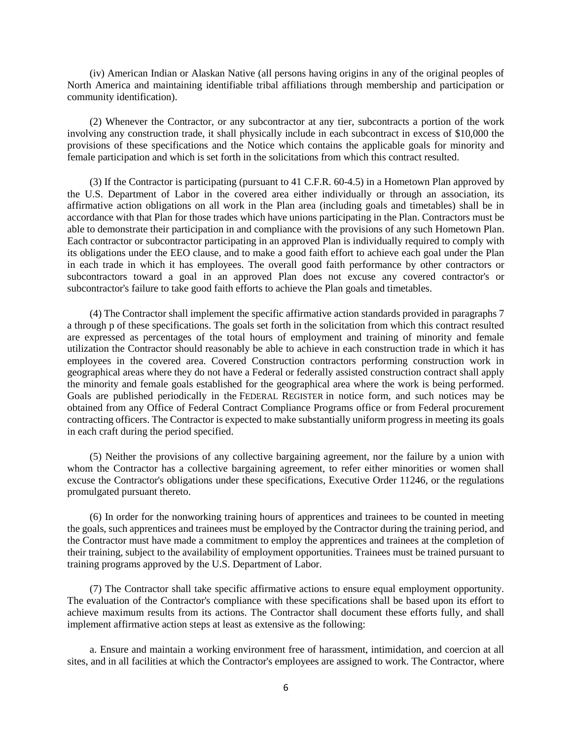(iv) American Indian or Alaskan Native (all persons having origins in any of the original peoples of North America and maintaining identifiable tribal affiliations through membership and participation or community identification).

(2) Whenever the Contractor, or any subcontractor at any tier, subcontracts a portion of the work involving any construction trade, it shall physically include in each subcontract in excess of \$10,000 the provisions of these specifications and the Notice which contains the applicable goals for minority and female participation and which is set forth in the solicitations from which this contract resulted.

(3) If the Contractor is participating (pursuant to 41 C.F.R. 60-4.5) in a Hometown Plan approved by the U.S. Department of Labor in the covered area either individually or through an association, its affirmative action obligations on all work in the Plan area (including goals and timetables) shall be in accordance with that Plan for those trades which have unions participating in the Plan. Contractors must be able to demonstrate their participation in and compliance with the provisions of any such Hometown Plan. Each contractor or subcontractor participating in an approved Plan is individually required to comply with its obligations under the EEO clause, and to make a good faith effort to achieve each goal under the Plan in each trade in which it has employees. The overall good faith performance by other contractors or subcontractors toward a goal in an approved Plan does not excuse any covered contractor's or subcontractor's failure to take good faith efforts to achieve the Plan goals and timetables.

(4) The Contractor shall implement the specific affirmative action standards provided in paragraphs 7 a through p of these specifications. The goals set forth in the solicitation from which this contract resulted are expressed as percentages of the total hours of employment and training of minority and female utilization the Contractor should reasonably be able to achieve in each construction trade in which it has employees in the covered area. Covered Construction contractors performing construction work in geographical areas where they do not have a Federal or federally assisted construction contract shall apply the minority and female goals established for the geographical area where the work is being performed. Goals are published periodically in the FEDERAL REGISTER in notice form, and such notices may be obtained from any Office of Federal Contract Compliance Programs office or from Federal procurement contracting officers. The Contractor is expected to make substantially uniform progress in meeting its goals in each craft during the period specified.

(5) Neither the provisions of any collective bargaining agreement, nor the failure by a union with whom the Contractor has a collective bargaining agreement, to refer either minorities or women shall excuse the Contractor's obligations under these specifications, Executive Order 11246, or the regulations promulgated pursuant thereto.

(6) In order for the nonworking training hours of apprentices and trainees to be counted in meeting the goals, such apprentices and trainees must be employed by the Contractor during the training period, and the Contractor must have made a commitment to employ the apprentices and trainees at the completion of their training, subject to the availability of employment opportunities. Trainees must be trained pursuant to training programs approved by the U.S. Department of Labor.

(7) The Contractor shall take specific affirmative actions to ensure equal employment opportunity. The evaluation of the Contractor's compliance with these specifications shall be based upon its effort to achieve maximum results from its actions. The Contractor shall document these efforts fully, and shall implement affirmative action steps at least as extensive as the following:

a. Ensure and maintain a working environment free of harassment, intimidation, and coercion at all sites, and in all facilities at which the Contractor's employees are assigned to work. The Contractor, where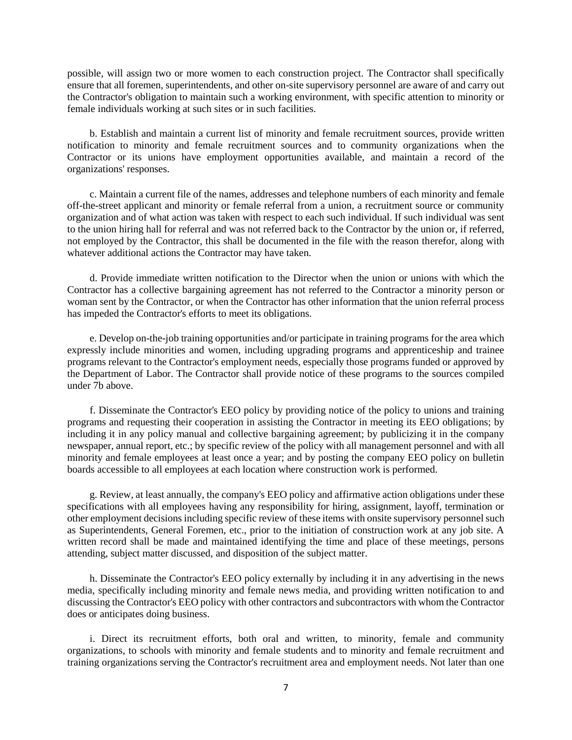possible, will assign two or more women to each construction project. The Contractor shall specifically ensure that all foremen, superintendents, and other on-site supervisory personnel are aware of and carry out the Contractor's obligation to maintain such a working environment, with specific attention to minority or female individuals working at such sites or in such facilities.

b. Establish and maintain a current list of minority and female recruitment sources, provide written notification to minority and female recruitment sources and to community organizations when the Contractor or its unions have employment opportunities available, and maintain a record of the organizations' responses.

c. Maintain a current file of the names, addresses and telephone numbers of each minority and female off-the-street applicant and minority or female referral from a union, a recruitment source or community organization and of what action was taken with respect to each such individual. If such individual was sent to the union hiring hall for referral and was not referred back to the Contractor by the union or, if referred, not employed by the Contractor, this shall be documented in the file with the reason therefor, along with whatever additional actions the Contractor may have taken.

d. Provide immediate written notification to the Director when the union or unions with which the Contractor has a collective bargaining agreement has not referred to the Contractor a minority person or woman sent by the Contractor, or when the Contractor has other information that the union referral process has impeded the Contractor's efforts to meet its obligations.

e. Develop on-the-job training opportunities and/or participate in training programs for the area which expressly include minorities and women, including upgrading programs and apprenticeship and trainee programs relevant to the Contractor's employment needs, especially those programs funded or approved by the Department of Labor. The Contractor shall provide notice of these programs to the sources compiled under 7b above.

f. Disseminate the Contractor's EEO policy by providing notice of the policy to unions and training programs and requesting their cooperation in assisting the Contractor in meeting its EEO obligations; by including it in any policy manual and collective bargaining agreement; by publicizing it in the company newspaper, annual report, etc.; by specific review of the policy with all management personnel and with all minority and female employees at least once a year; and by posting the company EEO policy on bulletin boards accessible to all employees at each location where construction work is performed.

g. Review, at least annually, the company's EEO policy and affirmative action obligations under these specifications with all employees having any responsibility for hiring, assignment, layoff, termination or other employment decisions including specific review of these items with onsite supervisory personnel such as Superintendents, General Foremen, etc., prior to the initiation of construction work at any job site. A written record shall be made and maintained identifying the time and place of these meetings, persons attending, subject matter discussed, and disposition of the subject matter.

h. Disseminate the Contractor's EEO policy externally by including it in any advertising in the news media, specifically including minority and female news media, and providing written notification to and discussing the Contractor's EEO policy with other contractors and subcontractors with whom the Contractor does or anticipates doing business.

i. Direct its recruitment efforts, both oral and written, to minority, female and community organizations, to schools with minority and female students and to minority and female recruitment and training organizations serving the Contractor's recruitment area and employment needs. Not later than one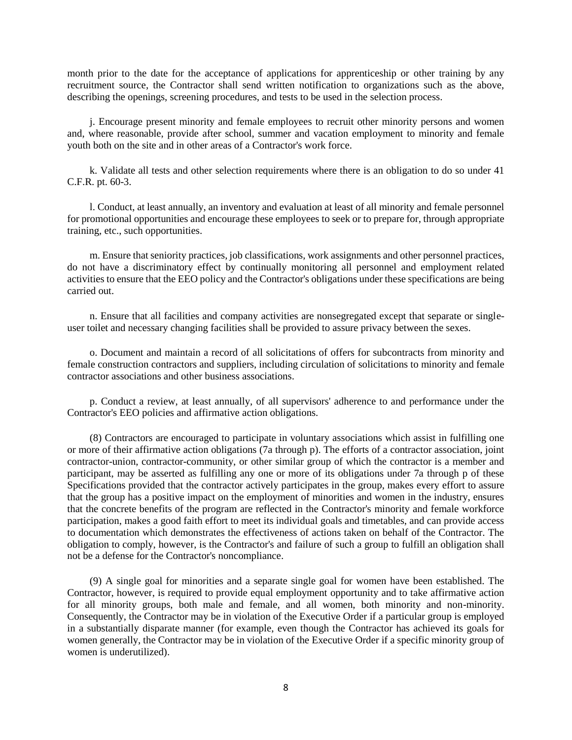month prior to the date for the acceptance of applications for apprenticeship or other training by any recruitment source, the Contractor shall send written notification to organizations such as the above, describing the openings, screening procedures, and tests to be used in the selection process.

j. Encourage present minority and female employees to recruit other minority persons and women and, where reasonable, provide after school, summer and vacation employment to minority and female youth both on the site and in other areas of a Contractor's work force.

k. Validate all tests and other selection requirements where there is an obligation to do so under 41 C.F.R. pt. 60-3.

l. Conduct, at least annually, an inventory and evaluation at least of all minority and female personnel for promotional opportunities and encourage these employees to seek or to prepare for, through appropriate training, etc., such opportunities.

m. Ensure that seniority practices, job classifications, work assignments and other personnel practices, do not have a discriminatory effect by continually monitoring all personnel and employment related activities to ensure that the EEO policy and the Contractor's obligations under these specifications are being carried out.

n. Ensure that all facilities and company activities are nonsegregated except that separate or singleuser toilet and necessary changing facilities shall be provided to assure privacy between the sexes.

o. Document and maintain a record of all solicitations of offers for subcontracts from minority and female construction contractors and suppliers, including circulation of solicitations to minority and female contractor associations and other business associations.

p. Conduct a review, at least annually, of all supervisors' adherence to and performance under the Contractor's EEO policies and affirmative action obligations.

(8) Contractors are encouraged to participate in voluntary associations which assist in fulfilling one or more of their affirmative action obligations (7a through p). The efforts of a contractor association, joint contractor-union, contractor-community, or other similar group of which the contractor is a member and participant, may be asserted as fulfilling any one or more of its obligations under 7a through p of these Specifications provided that the contractor actively participates in the group, makes every effort to assure that the group has a positive impact on the employment of minorities and women in the industry, ensures that the concrete benefits of the program are reflected in the Contractor's minority and female workforce participation, makes a good faith effort to meet its individual goals and timetables, and can provide access to documentation which demonstrates the effectiveness of actions taken on behalf of the Contractor. The obligation to comply, however, is the Contractor's and failure of such a group to fulfill an obligation shall not be a defense for the Contractor's noncompliance.

(9) A single goal for minorities and a separate single goal for women have been established. The Contractor, however, is required to provide equal employment opportunity and to take affirmative action for all minority groups, both male and female, and all women, both minority and non-minority. Consequently, the Contractor may be in violation of the Executive Order if a particular group is employed in a substantially disparate manner (for example, even though the Contractor has achieved its goals for women generally, the Contractor may be in violation of the Executive Order if a specific minority group of women is underutilized).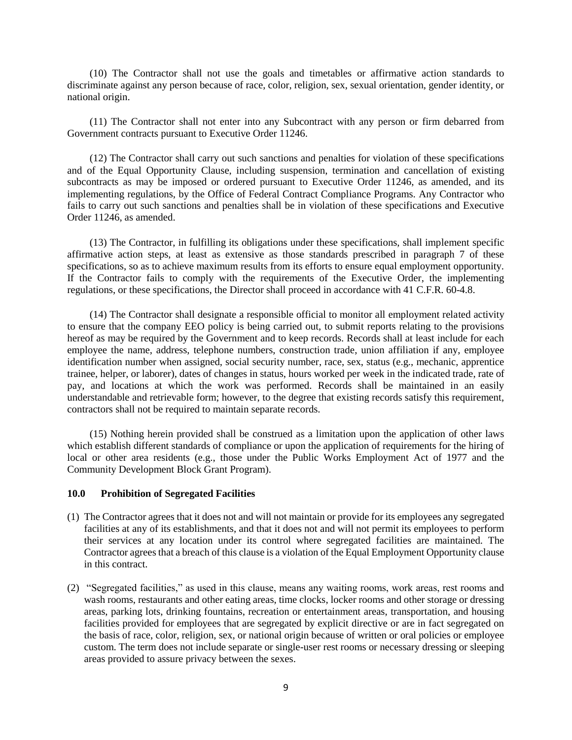(10) The Contractor shall not use the goals and timetables or affirmative action standards to discriminate against any person because of race, color, religion, sex, sexual orientation, gender identity, or national origin.

(11) The Contractor shall not enter into any Subcontract with any person or firm debarred from Government contracts pursuant to Executive Order 11246.

(12) The Contractor shall carry out such sanctions and penalties for violation of these specifications and of the Equal Opportunity Clause, including suspension, termination and cancellation of existing subcontracts as may be imposed or ordered pursuant to Executive Order 11246, as amended, and its implementing regulations, by the Office of Federal Contract Compliance Programs. Any Contractor who fails to carry out such sanctions and penalties shall be in violation of these specifications and Executive Order 11246, as amended.

(13) The Contractor, in fulfilling its obligations under these specifications, shall implement specific affirmative action steps, at least as extensive as those standards prescribed in paragraph 7 of these specifications, so as to achieve maximum results from its efforts to ensure equal employment opportunity. If the Contractor fails to comply with the requirements of the Executive Order, the implementing regulations, or these specifications, the Director shall proceed in accordance with 41 C.F.R. 60-4.8.

(14) The Contractor shall designate a responsible official to monitor all employment related activity to ensure that the company EEO policy is being carried out, to submit reports relating to the provisions hereof as may be required by the Government and to keep records. Records shall at least include for each employee the name, address, telephone numbers, construction trade, union affiliation if any, employee identification number when assigned, social security number, race, sex, status (e.g., mechanic, apprentice trainee, helper, or laborer), dates of changes in status, hours worked per week in the indicated trade, rate of pay, and locations at which the work was performed. Records shall be maintained in an easily understandable and retrievable form; however, to the degree that existing records satisfy this requirement, contractors shall not be required to maintain separate records.

(15) Nothing herein provided shall be construed as a limitation upon the application of other laws which establish different standards of compliance or upon the application of requirements for the hiring of local or other area residents (e.g., those under the Public Works Employment Act of 1977 and the Community Development Block Grant Program).

#### **10.0 Prohibition of Segregated Facilities**

- (1) The Contractor agrees that it does not and will not maintain or provide for its employees any segregated facilities at any of its establishments, and that it does not and will not permit its employees to perform their services at any location under its control where segregated facilities are maintained. The Contractor agrees that a breach of this clause is a violation of the Equal Employment Opportunity clause in this contract.
- (2) "Segregated facilities," as used in this clause, means any waiting rooms, work areas, rest rooms and wash rooms, restaurants and other eating areas, time clocks, locker rooms and other storage or dressing areas, parking lots, drinking fountains, recreation or entertainment areas, transportation, and housing facilities provided for employees that are segregated by explicit directive or are in fact segregated on the basis of race, color, religion, sex, or national origin because of written or oral policies or employee custom. The term does not include separate or single-user rest rooms or necessary dressing or sleeping areas provided to assure privacy between the sexes.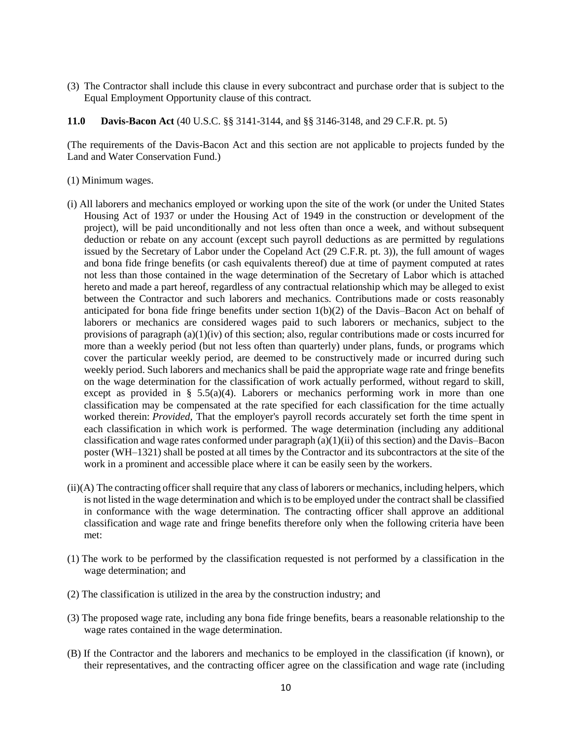(3) The Contractor shall include this clause in every subcontract and purchase order that is subject to the Equal Employment Opportunity clause of this contract.

#### **11.0 Davis-Bacon Act** (40 U.S.C. §§ 3141-3144, and §§ 3146-3148, and 29 C.F.R. pt. 5)

(The requirements of the Davis-Bacon Act and this section are not applicable to projects funded by the Land and Water Conservation Fund.)

- (1) Minimum wages.
- (i) All laborers and mechanics employed or working upon the site of the work (or under the United States Housing Act of 1937 or under the Housing Act of 1949 in the construction or development of the project), will be paid unconditionally and not less often than once a week, and without subsequent deduction or rebate on any account (except such payroll deductions as are permitted by regulations issued by the Secretary of Labor under the Copeland Act (29 C.F.R. pt. 3)), the full amount of wages and bona fide fringe benefits (or cash equivalents thereof) due at time of payment computed at rates not less than those contained in the wage determination of the Secretary of Labor which is attached hereto and made a part hereof, regardless of any contractual relationship which may be alleged to exist between the Contractor and such laborers and mechanics. Contributions made or costs reasonably anticipated for bona fide fringe benefits under section 1(b)(2) of the Davis–Bacon Act on behalf of laborers or mechanics are considered wages paid to such laborers or mechanics, subject to the provisions of paragraph (a)(1)(iv) of this section; also, regular contributions made or costs incurred for more than a weekly period (but not less often than quarterly) under plans, funds, or programs which cover the particular weekly period, are deemed to be constructively made or incurred during such weekly period. Such laborers and mechanics shall be paid the appropriate wage rate and fringe benefits on the wage determination for the classification of work actually performed, without regard to skill, except as provided in § 5.5(a)(4). Laborers or mechanics performing work in more than one classification may be compensated at the rate specified for each classification for the time actually worked therein: *Provided*, That the employer's payroll records accurately set forth the time spent in each classification in which work is performed. The wage determination (including any additional classification and wage rates conformed under paragraph  $(a)(1)(ii)$  of this section) and the Davis–Bacon poster (WH–1321) shall be posted at all times by the Contractor and its subcontractors at the site of the work in a prominent and accessible place where it can be easily seen by the workers.
- (ii)(A) The contracting officer shall require that any class of laborers or mechanics, including helpers, which is not listed in the wage determination and which is to be employed under the contract shall be classified in conformance with the wage determination. The contracting officer shall approve an additional classification and wage rate and fringe benefits therefore only when the following criteria have been met:
- (1) The work to be performed by the classification requested is not performed by a classification in the wage determination; and
- (2) The classification is utilized in the area by the construction industry; and
- (3) The proposed wage rate, including any bona fide fringe benefits, bears a reasonable relationship to the wage rates contained in the wage determination.
- (B) If the Contractor and the laborers and mechanics to be employed in the classification (if known), or their representatives, and the contracting officer agree on the classification and wage rate (including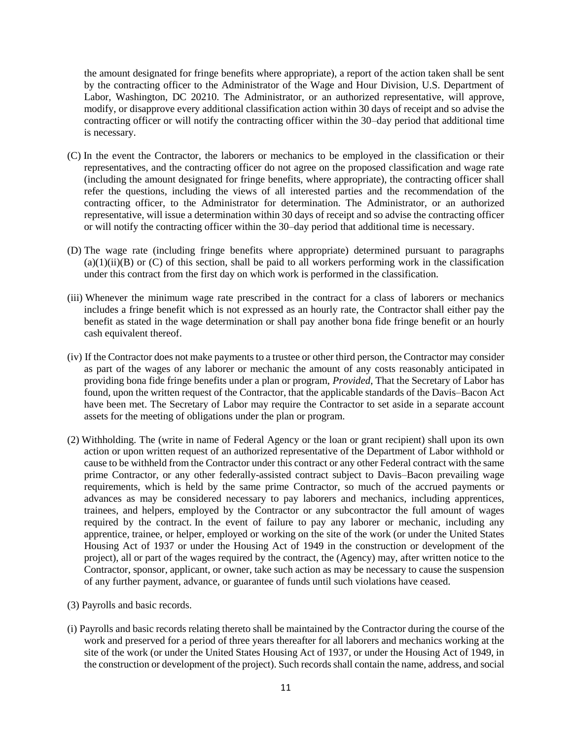the amount designated for fringe benefits where appropriate), a report of the action taken shall be sent by the contracting officer to the Administrator of the Wage and Hour Division, U.S. Department of Labor, Washington, DC 20210. The Administrator, or an authorized representative, will approve, modify, or disapprove every additional classification action within 30 days of receipt and so advise the contracting officer or will notify the contracting officer within the 30–day period that additional time is necessary.

- (C) In the event the Contractor, the laborers or mechanics to be employed in the classification or their representatives, and the contracting officer do not agree on the proposed classification and wage rate (including the amount designated for fringe benefits, where appropriate), the contracting officer shall refer the questions, including the views of all interested parties and the recommendation of the contracting officer, to the Administrator for determination. The Administrator, or an authorized representative, will issue a determination within 30 days of receipt and so advise the contracting officer or will notify the contracting officer within the 30–day period that additional time is necessary.
- (D) The wage rate (including fringe benefits where appropriate) determined pursuant to paragraphs  $(a)(1)(ii)(B)$  or  $(C)$  of this section, shall be paid to all workers performing work in the classification under this contract from the first day on which work is performed in the classification.
- (iii) Whenever the minimum wage rate prescribed in the contract for a class of laborers or mechanics includes a fringe benefit which is not expressed as an hourly rate, the Contractor shall either pay the benefit as stated in the wage determination or shall pay another bona fide fringe benefit or an hourly cash equivalent thereof.
- (iv) If the Contractor does not make payments to a trustee or other third person, the Contractor may consider as part of the wages of any laborer or mechanic the amount of any costs reasonably anticipated in providing bona fide fringe benefits under a plan or program, *Provided*, That the Secretary of Labor has found, upon the written request of the Contractor, that the applicable standards of the Davis–Bacon Act have been met. The Secretary of Labor may require the Contractor to set aside in a separate account assets for the meeting of obligations under the plan or program.
- (2) Withholding. The (write in name of Federal Agency or the loan or grant recipient) shall upon its own action or upon written request of an authorized representative of the Department of Labor withhold or cause to be withheld from the Contractor under this contract or any other Federal contract with the same prime Contractor, or any other federally-assisted contract subject to Davis–Bacon prevailing wage requirements, which is held by the same prime Contractor, so much of the accrued payments or advances as may be considered necessary to pay laborers and mechanics, including apprentices, trainees, and helpers, employed by the Contractor or any subcontractor the full amount of wages required by the contract. In the event of failure to pay any laborer or mechanic, including any apprentice, trainee, or helper, employed or working on the site of the work (or under the United States Housing Act of 1937 or under the Housing Act of 1949 in the construction or development of the project), all or part of the wages required by the contract, the (Agency) may, after written notice to the Contractor, sponsor, applicant, or owner, take such action as may be necessary to cause the suspension of any further payment, advance, or guarantee of funds until such violations have ceased.
- (3) Payrolls and basic records.
- (i) Payrolls and basic records relating thereto shall be maintained by the Contractor during the course of the work and preserved for a period of three years thereafter for all laborers and mechanics working at the site of the work (or under the United States Housing Act of 1937, or under the Housing Act of 1949, in the construction or development of the project). Such records shall contain the name, address, and social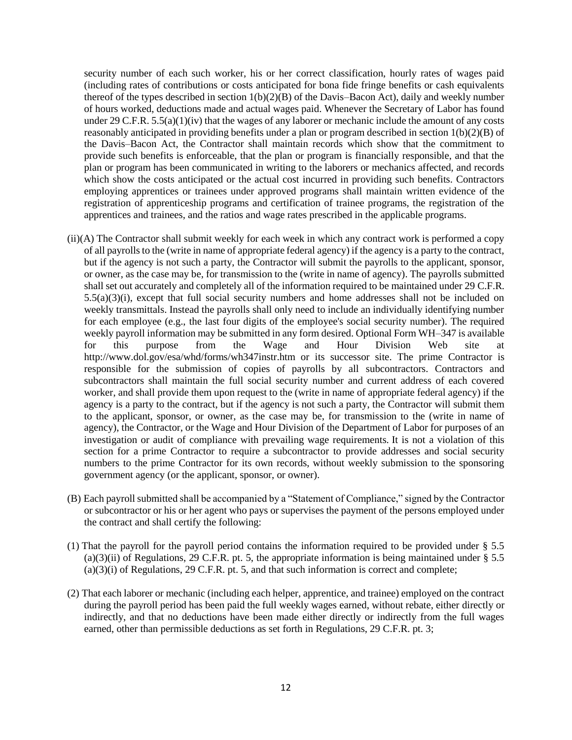security number of each such worker, his or her correct classification, hourly rates of wages paid (including rates of contributions or costs anticipated for bona fide fringe benefits or cash equivalents thereof of the types described in section  $1(b)(2)(B)$  of the Davis–Bacon Act), daily and weekly number of hours worked, deductions made and actual wages paid. Whenever the Secretary of Labor has found under 29 C.F.R.  $5.5(a)(1)(iv)$  that the wages of any laborer or mechanic include the amount of any costs reasonably anticipated in providing benefits under a plan or program described in section 1(b)(2)(B) of the Davis–Bacon Act, the Contractor shall maintain records which show that the commitment to provide such benefits is enforceable, that the plan or program is financially responsible, and that the plan or program has been communicated in writing to the laborers or mechanics affected, and records which show the costs anticipated or the actual cost incurred in providing such benefits. Contractors employing apprentices or trainees under approved programs shall maintain written evidence of the registration of apprenticeship programs and certification of trainee programs, the registration of the apprentices and trainees, and the ratios and wage rates prescribed in the applicable programs.

- (ii)(A) The Contractor shall submit weekly for each week in which any contract work is performed a copy of all payrolls to the (write in name of appropriate federal agency) if the agency is a party to the contract, but if the agency is not such a party, the Contractor will submit the payrolls to the applicant, sponsor, or owner, as the case may be, for transmission to the (write in name of agency). The payrolls submitted shall set out accurately and completely all of the information required to be maintained under 29 C.F.R.  $5.5(a)(3)(i)$ , except that full social security numbers and home addresses shall not be included on weekly transmittals. Instead the payrolls shall only need to include an individually identifying number for each employee (e.g., the last four digits of the employee's social security number). The required weekly payroll information may be submitted in any form desired. Optional Form WH–347 is available for this purpose from the Wage and Hour Division Web site at http://www.dol.gov/esa/whd/forms/wh347instr.htm or its successor site. The prime Contractor is responsible for the submission of copies of payrolls by all subcontractors. Contractors and subcontractors shall maintain the full social security number and current address of each covered worker, and shall provide them upon request to the (write in name of appropriate federal agency) if the agency is a party to the contract, but if the agency is not such a party, the Contractor will submit them to the applicant, sponsor, or owner, as the case may be, for transmission to the (write in name of agency), the Contractor, or the Wage and Hour Division of the Department of Labor for purposes of an investigation or audit of compliance with prevailing wage requirements. It is not a violation of this section for a prime Contractor to require a subcontractor to provide addresses and social security numbers to the prime Contractor for its own records, without weekly submission to the sponsoring government agency (or the applicant, sponsor, or owner).
- (B) Each payroll submitted shall be accompanied by a "Statement of Compliance," signed by the Contractor or subcontractor or his or her agent who pays or supervises the payment of the persons employed under the contract and shall certify the following:
- (1) That the payroll for the payroll period contains the information required to be provided under § 5.5  $(a)(3)(ii)$  of Regulations, 29 C.F.R. pt. 5, the appropriate information is being maintained under § 5.5  $(a)(3)(i)$  of Regulations, 29 C.F.R. pt. 5, and that such information is correct and complete;
- (2) That each laborer or mechanic (including each helper, apprentice, and trainee) employed on the contract during the payroll period has been paid the full weekly wages earned, without rebate, either directly or indirectly, and that no deductions have been made either directly or indirectly from the full wages earned, other than permissible deductions as set forth in Regulations, 29 C.F.R. pt. 3;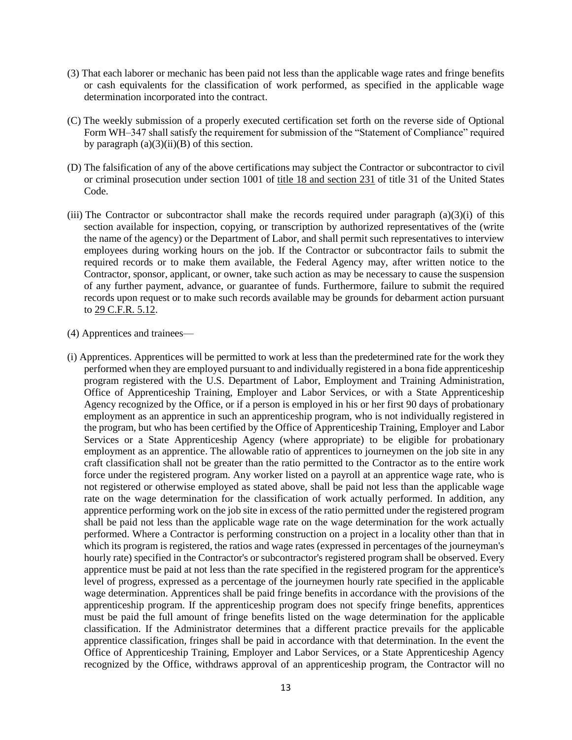- (3) That each laborer or mechanic has been paid not less than the applicable wage rates and fringe benefits or cash equivalents for the classification of work performed, as specified in the applicable wage determination incorporated into the contract.
- (C) The weekly submission of a properly executed certification set forth on the reverse side of Optional Form WH–347 shall satisfy the requirement for submission of the "Statement of Compliance" required by paragraph  $(a)(3)(ii)(B)$  of this section.
- (D) The falsification of any of the above certifications may subject the Contractor or subcontractor to civil or criminal prosecution under section 1001 of title 18 and [section](https://1.next.westlaw.com/Link/Document/FullText?findType=L&pubNum=1000546&cite=18USCAS231&originatingDoc=N3C780D011F0C11E9B1DFA409C53AD1CE&refType=LQ&originationContext=document&transitionType=DocumentItem&ppcid=06a27e4ab5464a6c9d61b4723cfd5e20&contextData=(sc.Document)) 231 of title 31 of the United States Code.
- (iii) The Contractor or subcontractor shall make the records required under paragraph (a)(3)(i) of this section available for inspection, copying, or transcription by authorized representatives of the (write the name of the agency) or the Department of Labor, and shall permit such representatives to interview employees during working hours on the job. If the Contractor or subcontractor fails to submit the required records or to make them available, the Federal Agency may, after written notice to the Contractor, sponsor, applicant, or owner, take such action as may be necessary to cause the suspension of any further payment, advance, or guarantee of funds. Furthermore, failure to submit the required records upon request or to make such records available may be grounds for debarment action pursuant to 29 [C.F.R.](https://1.next.westlaw.com/Link/Document/FullText?findType=L&pubNum=1000547&cite=29CFRS5.12&originatingDoc=N3C780D011F0C11E9B1DFA409C53AD1CE&refType=VP&originationContext=document&transitionType=DocumentItem&ppcid=06a27e4ab5464a6c9d61b4723cfd5e20&contextData=(sc.Document)) 5.12.
- (4) Apprentices and trainees—
- (i) Apprentices. Apprentices will be permitted to work at less than the predetermined rate for the work they performed when they are employed pursuant to and individually registered in a bona fide apprenticeship program registered with the U.S. Department of Labor, Employment and Training Administration, Office of Apprenticeship Training, Employer and Labor Services, or with a State Apprenticeship Agency recognized by the Office, or if a person is employed in his or her first 90 days of probationary employment as an apprentice in such an apprenticeship program, who is not individually registered in the program, but who has been certified by the Office of Apprenticeship Training, Employer and Labor Services or a State Apprenticeship Agency (where appropriate) to be eligible for probationary employment as an apprentice. The allowable ratio of apprentices to journeymen on the job site in any craft classification shall not be greater than the ratio permitted to the Contractor as to the entire work force under the registered program. Any worker listed on a payroll at an apprentice wage rate, who is not registered or otherwise employed as stated above, shall be paid not less than the applicable wage rate on the wage determination for the classification of work actually performed. In addition, any apprentice performing work on the job site in excess of the ratio permitted under the registered program shall be paid not less than the applicable wage rate on the wage determination for the work actually performed. Where a Contractor is performing construction on a project in a locality other than that in which its program is registered, the ratios and wage rates (expressed in percentages of the journeyman's hourly rate) specified in the Contractor's or subcontractor's registered program shall be observed. Every apprentice must be paid at not less than the rate specified in the registered program for the apprentice's level of progress, expressed as a percentage of the journeymen hourly rate specified in the applicable wage determination. Apprentices shall be paid fringe benefits in accordance with the provisions of the apprenticeship program. If the apprenticeship program does not specify fringe benefits, apprentices must be paid the full amount of fringe benefits listed on the wage determination for the applicable classification. If the Administrator determines that a different practice prevails for the applicable apprentice classification, fringes shall be paid in accordance with that determination. In the event the Office of Apprenticeship Training, Employer and Labor Services, or a State Apprenticeship Agency recognized by the Office, withdraws approval of an apprenticeship program, the Contractor will no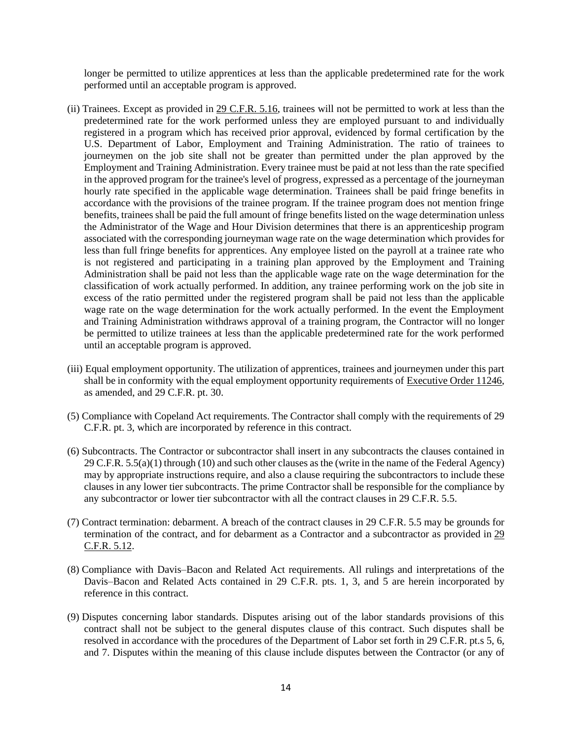longer be permitted to utilize apprentices at less than the applicable predetermined rate for the work performed until an acceptable program is approved.

- (ii) Trainees. Except as provided in 29 [C.F.R.](https://1.next.westlaw.com/Link/Document/FullText?findType=L&pubNum=1000547&cite=29CFRS5.16&originatingDoc=N3C780D011F0C11E9B1DFA409C53AD1CE&refType=VP&originationContext=document&transitionType=DocumentItem&ppcid=06a27e4ab5464a6c9d61b4723cfd5e20&contextData=(sc.Document)) 5.16, trainees will not be permitted to work at less than the predetermined rate for the work performed unless they are employed pursuant to and individually registered in a program which has received prior approval, evidenced by formal certification by the U.S. Department of Labor, Employment and Training Administration. The ratio of trainees to journeymen on the job site shall not be greater than permitted under the plan approved by the Employment and Training Administration. Every trainee must be paid at not less than the rate specified in the approved program for the trainee's level of progress, expressed as a percentage of the journeyman hourly rate specified in the applicable wage determination. Trainees shall be paid fringe benefits in accordance with the provisions of the trainee program. If the trainee program does not mention fringe benefits, trainees shall be paid the full amount of fringe benefits listed on the wage determination unless the Administrator of the Wage and Hour Division determines that there is an apprenticeship program associated with the corresponding journeyman wage rate on the wage determination which provides for less than full fringe benefits for apprentices. Any employee listed on the payroll at a trainee rate who is not registered and participating in a training plan approved by the Employment and Training Administration shall be paid not less than the applicable wage rate on the wage determination for the classification of work actually performed. In addition, any trainee performing work on the job site in excess of the ratio permitted under the registered program shall be paid not less than the applicable wage rate on the wage determination for the work actually performed. In the event the Employment and Training Administration withdraws approval of a training program, the Contractor will no longer be permitted to utilize trainees at less than the applicable predetermined rate for the work performed until an acceptable program is approved.
- (iii) Equal employment opportunity. The utilization of apprentices, trainees and journeymen under this part shall be in conformity with the equal employment opportunity requirements of [Executive](https://1.next.westlaw.com/Link/Document/FullText?findType=Y&serNum=1965078314&pubNum=0001043&originatingDoc=N3C780D011F0C11E9B1DFA409C53AD1CE&refType=CA&originationContext=document&transitionType=DocumentItem&ppcid=06a27e4ab5464a6c9d61b4723cfd5e20&contextData=(sc.Document)) Order 11246, as amended, and 29 C.F.R. pt. 30.
- (5) Compliance with Copeland Act requirements. The Contractor shall comply with the requirements of 29 C.F.R. pt. 3, which are incorporated by reference in this contract.
- (6) Subcontracts. The Contractor or subcontractor shall insert in any subcontracts the clauses contained in 29 C.F.R. 5.5(a)(1) through (10) and such other clauses as the (write in the name of the Federal Agency) may by appropriate instructions require, and also a clause requiring the subcontractors to include these clauses in any lower tier subcontracts. The prime Contractor shall be responsible for the compliance by any subcontractor or lower tier subcontractor with all the contract clauses in 29 C.F.R. 5.5.
- (7) Contract termination: debarment. A breach of the contract clauses in 29 C.F.R. 5.5 may be grounds for termination of the contract, and for debarment as a Contractor and a subcontractor as provided in [29](https://1.next.westlaw.com/Link/Document/FullText?findType=L&pubNum=1000547&cite=29CFRS5.12&originatingDoc=N3C780D011F0C11E9B1DFA409C53AD1CE&refType=VP&originationContext=document&transitionType=DocumentItem&ppcid=06a27e4ab5464a6c9d61b4723cfd5e20&contextData=(sc.Document)) [C.F.R.](https://1.next.westlaw.com/Link/Document/FullText?findType=L&pubNum=1000547&cite=29CFRS5.12&originatingDoc=N3C780D011F0C11E9B1DFA409C53AD1CE&refType=VP&originationContext=document&transitionType=DocumentItem&ppcid=06a27e4ab5464a6c9d61b4723cfd5e20&contextData=(sc.Document)) 5.12.
- (8) Compliance with Davis–Bacon and Related Act requirements. All rulings and interpretations of the Davis–Bacon and Related Acts contained in 29 C.F.R. pts. 1, 3, and 5 are herein incorporated by reference in this contract.
- (9) Disputes concerning labor standards. Disputes arising out of the labor standards provisions of this contract shall not be subject to the general disputes clause of this contract. Such disputes shall be resolved in accordance with the procedures of the Department of Labor set forth in 29 C.F.R. pt.s 5, 6, and 7. Disputes within the meaning of this clause include disputes between the Contractor (or any of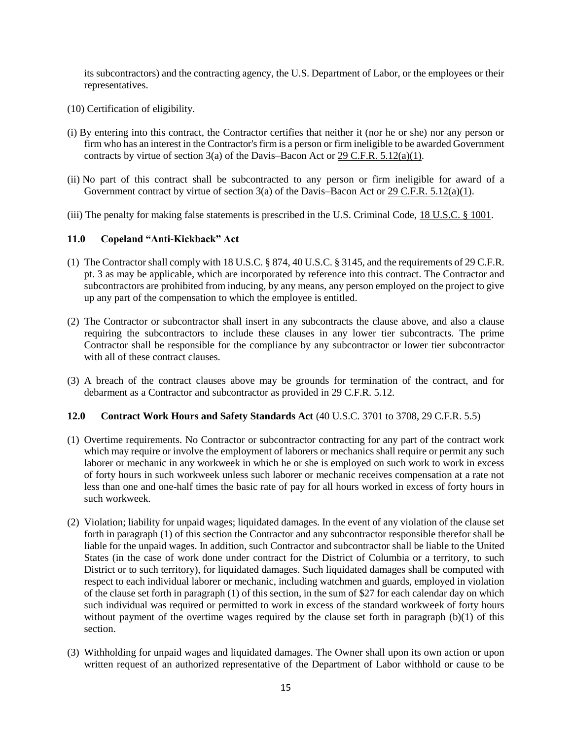its subcontractors) and the contracting agency, the U.S. Department of Labor, or the employees or their representatives.

- (10) Certification of eligibility.
- (i) By entering into this contract, the Contractor certifies that neither it (nor he or she) nor any person or firm who has an interest in the Contractor's firm is a person or firm ineligible to be awarded Government contracts by virtue of section 3(a) of the Davis–Bacon Act or 29 C.F.R. [5.12\(a\)\(1\).](https://1.next.westlaw.com/Link/Document/FullText?findType=L&pubNum=1000547&cite=29CFRS5.12&originatingDoc=N3C780D011F0C11E9B1DFA409C53AD1CE&refType=VB&originationContext=document&transitionType=DocumentItem&ppcid=06a27e4ab5464a6c9d61b4723cfd5e20&contextData=(sc.Document)#co_pp_7b9b000044381)
- (ii) No part of this contract shall be subcontracted to any person or firm ineligible for award of a Government contract by virtue of section 3(a) of the Davis–Bacon Act or 29 C.F.R. [5.12\(a\)\(1\).](https://1.next.westlaw.com/Link/Document/FullText?findType=L&pubNum=1000547&cite=29CFRS5.12&originatingDoc=N3C780D011F0C11E9B1DFA409C53AD1CE&refType=VB&originationContext=document&transitionType=DocumentItem&ppcid=06a27e4ab5464a6c9d61b4723cfd5e20&contextData=(sc.Document)#co_pp_7b9b000044381)
- (iii) The penalty for making false statements is prescribed in the U.S. Criminal Code, 18 [U.S.C.](https://1.next.westlaw.com/Link/Document/FullText?findType=L&pubNum=1000546&cite=18USCAS1001&originatingDoc=N3C780D011F0C11E9B1DFA409C53AD1CE&refType=LQ&originationContext=document&transitionType=DocumentItem&ppcid=06a27e4ab5464a6c9d61b4723cfd5e20&contextData=(sc.Document)) § 1001.

### **11.0 Copeland "Anti-Kickback" Act**

- (1) The Contractor shall comply with 18 U.S.C. § 874, 40 U.S.C. § 3145, and the requirements of 29 C.F.R. pt. 3 as may be applicable, which are incorporated by reference into this contract. The Contractor and subcontractors are prohibited from inducing, by any means, any person employed on the project to give up any part of the compensation to which the employee is entitled.
- (2) The Contractor or subcontractor shall insert in any subcontracts the clause above, and also a clause requiring the subcontractors to include these clauses in any lower tier subcontracts. The prime Contractor shall be responsible for the compliance by any subcontractor or lower tier subcontractor with all of these contract clauses.
- (3) A breach of the contract clauses above may be grounds for termination of the contract, and for debarment as a Contractor and subcontractor as provided in 29 C.F.R. 5.12.

#### **12.0 Contract Work Hours and Safety Standards Act** (40 U.S.C. 3701 to 3708, 29 C.F.R. 5.5)

- (1) Overtime requirements. No Contractor or subcontractor contracting for any part of the contract work which may require or involve the employment of laborers or mechanics shall require or permit any such laborer or mechanic in any workweek in which he or she is employed on such work to work in excess of forty hours in such workweek unless such laborer or mechanic receives compensation at a rate not less than one and one-half times the basic rate of pay for all hours worked in excess of forty hours in such workweek.
- (2) Violation; liability for unpaid wages; liquidated damages. In the event of any violation of the clause set forth in paragraph (1) of this section the Contractor and any subcontractor responsible therefor shall be liable for the unpaid wages. In addition, such Contractor and subcontractor shall be liable to the United States (in the case of work done under contract for the District of Columbia or a territory, to such District or to such territory), for liquidated damages. Such liquidated damages shall be computed with respect to each individual laborer or mechanic, including watchmen and guards, employed in violation of the clause set forth in paragraph (1) of this section, in the sum of \$27 for each calendar day on which such individual was required or permitted to work in excess of the standard workweek of forty hours without payment of the overtime wages required by the clause set forth in paragraph (b)(1) of this section.
- (3) Withholding for unpaid wages and liquidated damages. The Owner shall upon its own action or upon written request of an authorized representative of the Department of Labor withhold or cause to be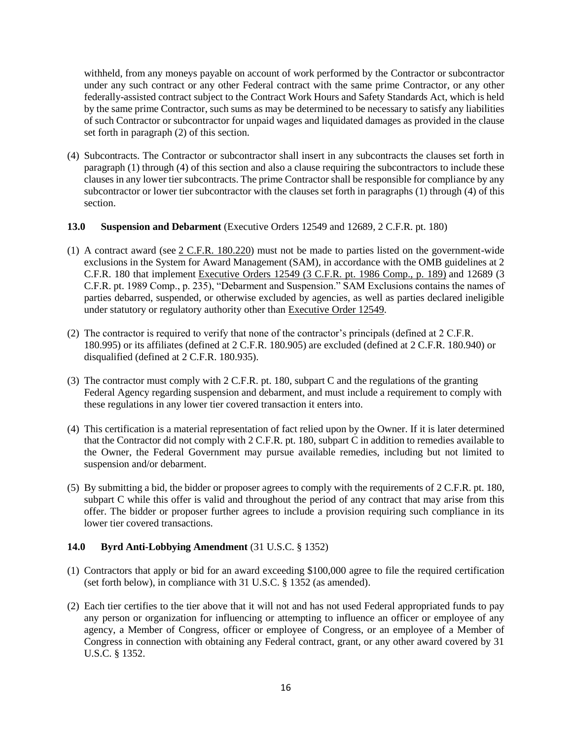withheld, from any moneys payable on account of work performed by the Contractor or subcontractor under any such contract or any other Federal contract with the same prime Contractor, or any other federally-assisted contract subject to the Contract Work Hours and Safety Standards Act, which is held by the same prime Contractor, such sums as may be determined to be necessary to satisfy any liabilities of such Contractor or subcontractor for unpaid wages and liquidated damages as provided in the clause set forth in paragraph (2) of this section.

(4) Subcontracts. The Contractor or subcontractor shall insert in any subcontracts the clauses set forth in paragraph (1) through (4) of this section and also a clause requiring the subcontractors to include these clauses in any lower tier subcontracts. The prime Contractor shall be responsible for compliance by any subcontractor or lower tier subcontractor with the clauses set forth in paragraphs (1) through (4) of this section.

#### **13.0 Suspension and Debarment** (Executive Orders 12549 and 12689, 2 C.F.R. pt. 180)

- (1) A contract award (see 2 C.F.R. 180.220) must not be made to parties listed on the government-wide exclusions in the System for Award Management (SAM), in accordance with the OMB guidelines at 2 C.F.R. 180 that implement [Executive](https://1.next.westlaw.com/Link/Document/FullText?findType=Y&serNum=1986307694&pubNum=0001043&originatingDoc=N9DDCF180DD7B11EAB398EAA2463C6B16&refType=CA&originationContext=document&transitionType=DocumentItem&ppcid=3071a9090da146b98583d26dfd98fc72&contextData=(sc.Category)) Orders 12549 (3 C.F.R. pt. 1986 Comp., p. 189) and 12689 (3 C.F.R. pt. 1989 Comp., p. 235), "Debarment and Suspension." SAM Exclusions contains the names of parties debarred, suspended, or otherwise excluded by agencies, as well as parties declared ineligible under statutory or regulatory authority other than [Executive](https://1.next.westlaw.com/Link/Document/FullText?findType=Y&serNum=1986307694&pubNum=0001043&originatingDoc=N9DDCF180DD7B11EAB398EAA2463C6B16&refType=CA&originationContext=document&transitionType=DocumentItem&ppcid=3071a9090da146b98583d26dfd98fc72&contextData=(sc.Category)) Order 12549.
- (2) The contractor is required to verify that none of the contractor's principals (defined at 2 C.F.R. 180.995) or its affiliates (defined at 2 C.F.R. 180.905) are excluded (defined at 2 C.F.R. 180.940) or disqualified (defined at 2 C.F.R. 180.935).
- (3) The contractor must comply with 2 C.F.R. pt. 180, subpart C and the regulations of the granting Federal Agency regarding suspension and debarment, and must include a requirement to comply with these regulations in any lower tier covered transaction it enters into.
- (4) This certification is a material representation of fact relied upon by the Owner. If it is later determined that the Contractor did not comply with 2 C.F.R. pt. 180, subpart C in addition to remedies available to the Owner, the Federal Government may pursue available remedies, including but not limited to suspension and/or debarment.
- (5) By submitting a bid, the bidder or proposer agrees to comply with the requirements of 2 C.F.R. pt. 180, subpart C while this offer is valid and throughout the period of any contract that may arise from this offer. The bidder or proposer further agrees to include a provision requiring such compliance in its lower tier covered transactions.

#### **14.0 Byrd Anti-Lobbying Amendment** (31 U.S.C. § 1352)

- (1) Contractors that apply or bid for an award exceeding \$100,000 agree to file the required certification (set forth below), in compliance with 31 U.S.C. § 1352 (as amended).
- (2) Each tier certifies to the tier above that it will not and has not used Federal appropriated funds to pay any person or organization for influencing or attempting to influence an officer or employee of any agency, a Member of Congress, officer or employee of Congress, or an employee of a Member of Congress in connection with obtaining any Federal contract, grant, or any other award covered by 31 U.S.C. § 1352.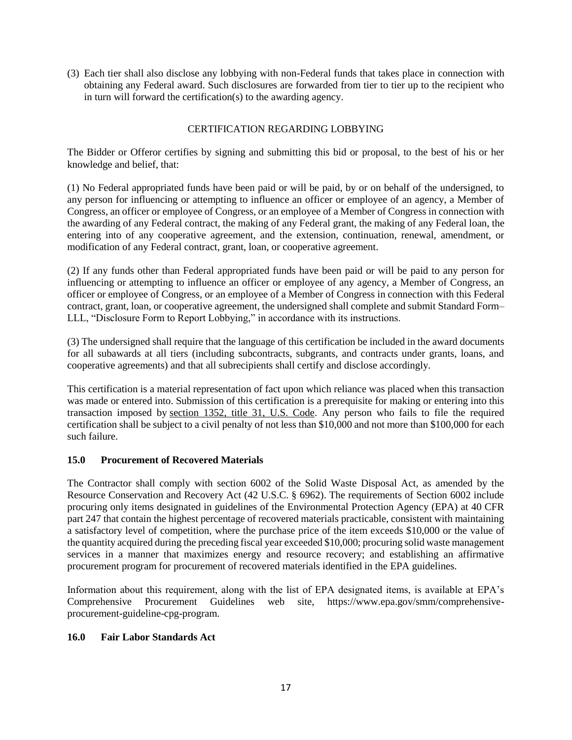(3) Each tier shall also disclose any lobbying with non-Federal funds that takes place in connection with obtaining any Federal award. Such disclosures are forwarded from tier to tier up to the recipient who in turn will forward the certification(s) to the awarding agency.

### CERTIFICATION REGARDING LOBBYING

The Bidder or Offeror certifies by signing and submitting this bid or proposal, to the best of his or her knowledge and belief, that:

(1) No Federal appropriated funds have been paid or will be paid, by or on behalf of the undersigned, to any person for influencing or attempting to influence an officer or employee of an agency, a Member of Congress, an officer or employee of Congress, or an employee of a Member of Congress in connection with the awarding of any Federal contract, the making of any Federal grant, the making of any Federal loan, the entering into of any cooperative agreement, and the extension, continuation, renewal, amendment, or modification of any Federal contract, grant, loan, or cooperative agreement.

(2) If any funds other than Federal appropriated funds have been paid or will be paid to any person for influencing or attempting to influence an officer or employee of any agency, a Member of Congress, an officer or employee of Congress, or an employee of a Member of Congress in connection with this Federal contract, grant, loan, or cooperative agreement, the undersigned shall complete and submit Standard Form– LLL, "Disclosure Form to Report Lobbying," in accordance with its instructions.

(3) The undersigned shall require that the language of this certification be included in the award documents for all subawards at all tiers (including subcontracts, subgrants, and contracts under grants, loans, and cooperative agreements) and that all subrecipients shall certify and disclose accordingly.

This certification is a material representation of fact upon which reliance was placed when this transaction was made or entered into. Submission of this certification is a prerequisite for making or entering into this transaction imposed by [section](https://1.next.westlaw.com/Link/Document/FullText?findType=L&pubNum=1000546&cite=31USCAS1352&originatingDoc=NE02AC7B08B4311D98CF4E0B65F42E6DA&refType=LQ&originationContext=document&transitionType=DocumentItem&ppcid=2627062311734f1299357be642a724e5&contextData=(sc.Document)) 1352, title 31, U.S. Code. Any person who fails to file the required certification shall be subject to a civil penalty of not less than \$10,000 and not more than \$100,000 for each such failure.

#### **15.0 Procurement of Recovered Materials**

The Contractor shall comply with section 6002 of the Solid Waste Disposal Act, as amended by the Resource Conservation and Recovery Act (42 U.S.C. § 6962). The requirements of Section 6002 include procuring only items designated in guidelines of the Environmental Protection Agency (EPA) at 40 CFR part 247 that contain the highest percentage of recovered materials practicable, consistent with maintaining a satisfactory level of competition, where the purchase price of the item exceeds \$10,000 or the value of the quantity acquired during the preceding fiscal year exceeded \$10,000; procuring solid waste management services in a manner that maximizes energy and resource recovery; and establishing an affirmative procurement program for procurement of recovered materials identified in the EPA guidelines.

Information about this requirement, along with the list of EPA designated items, is available at EPA's Comprehensive Procurement Guidelines web site, https://www.epa.gov/smm/comprehensiveprocurement-guideline-cpg-program.

#### **16.0 Fair Labor Standards Act**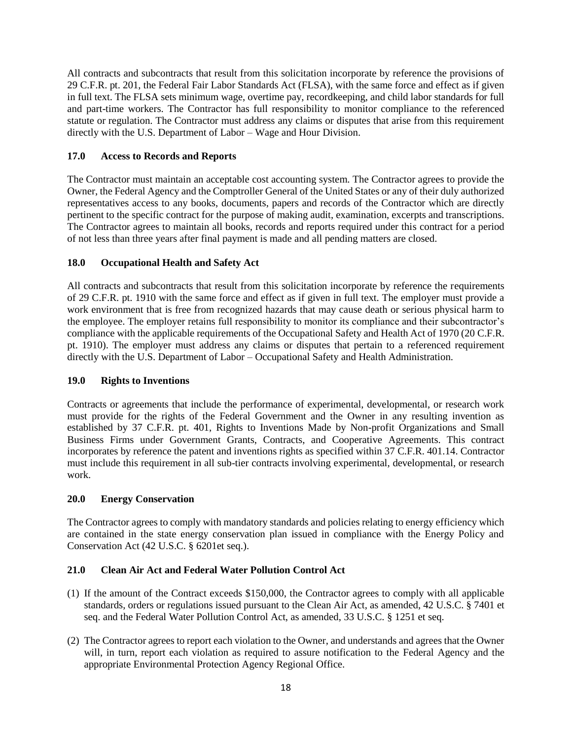All contracts and subcontracts that result from this solicitation incorporate by reference the provisions of 29 C.F.R. pt. 201, the Federal Fair Labor Standards Act (FLSA), with the same force and effect as if given in full text. The FLSA sets minimum wage, overtime pay, recordkeeping, and child labor standards for full and part-time workers. The Contractor has full responsibility to monitor compliance to the referenced statute or regulation. The Contractor must address any claims or disputes that arise from this requirement directly with the U.S. Department of Labor – Wage and Hour Division.

## **17.0 Access to Records and Reports**

The Contractor must maintain an acceptable cost accounting system. The Contractor agrees to provide the Owner, the Federal Agency and the Comptroller General of the United States or any of their duly authorized representatives access to any books, documents, papers and records of the Contractor which are directly pertinent to the specific contract for the purpose of making audit, examination, excerpts and transcriptions. The Contractor agrees to maintain all books, records and reports required under this contract for a period of not less than three years after final payment is made and all pending matters are closed.

## **18.0 Occupational Health and Safety Act**

All contracts and subcontracts that result from this solicitation incorporate by reference the requirements of 29 C.F.R. pt. 1910 with the same force and effect as if given in full text. The employer must provide a work environment that is free from recognized hazards that may cause death or serious physical harm to the employee. The employer retains full responsibility to monitor its compliance and their subcontractor's compliance with the applicable requirements of the Occupational Safety and Health Act of 1970 (20 C.F.R. pt. 1910). The employer must address any claims or disputes that pertain to a referenced requirement directly with the U.S. Department of Labor – Occupational Safety and Health Administration.

### **19.0 Rights to Inventions**

Contracts or agreements that include the performance of experimental, developmental, or research work must provide for the rights of the Federal Government and the Owner in any resulting invention as established by 37 C.F.R. pt. 401, Rights to Inventions Made by Non-profit Organizations and Small Business Firms under Government Grants, Contracts, and Cooperative Agreements. This contract incorporates by reference the patent and inventions rights as specified within 37 C.F.R. 401.14. Contractor must include this requirement in all sub-tier contracts involving experimental, developmental, or research work.

### **20.0 Energy Conservation**

The Contractor agrees to comply with mandatory standards and policies relating to energy efficiency which are contained in the state energy conservation plan issued in compliance with the Energy Policy and Conservation Act (42 U.S.C. § 6201et seq.).

# **21.0 Clean Air Act and Federal Water Pollution Control Act**

- (1) If the amount of the Contract exceeds \$150,000, the Contractor agrees to comply with all applicable standards, orders or regulations issued pursuant to the Clean Air Act, as amended, 42 U.S.C. § 7401 et seq. and the Federal Water Pollution Control Act, as amended, 33 U.S.C. § 1251 et seq.
- (2) The Contractor agrees to report each violation to the Owner, and understands and agrees that the Owner will, in turn, report each violation as required to assure notification to the Federal Agency and the appropriate Environmental Protection Agency Regional Office.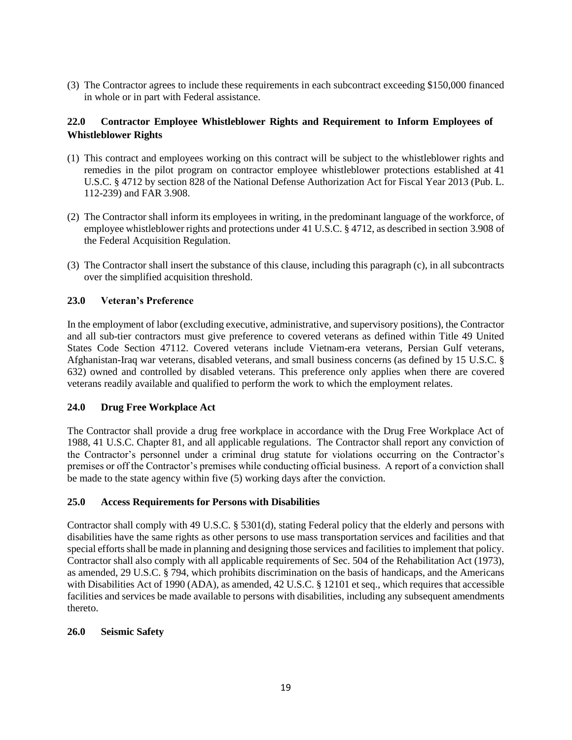(3) The Contractor agrees to include these requirements in each subcontract exceeding \$150,000 financed in whole or in part with Federal assistance.

### **22.0 Contractor Employee Whistleblower Rights and Requirement to Inform Employees of Whistleblower Rights**

- (1) This contract and employees working on this contract will be subject to the whistleblower rights and remedies in the pilot program on contractor employee whistleblower protections established at [41](http://uscode.house.gov/)  [U.S.C. § 4712](http://uscode.house.gov/) by section 828 of the National Defense Authorization Act for Fiscal Year 2013 (Pub. L. 112-239) and FAR [3.908.](https://www.acquisition.gov/sites/default/files/current/far/html/Subpart%203_9.html#wp1081284)
- (2) The Contractor shall inform its employees in writing, in the predominant language of the workforce, of employee whistleblower rights and protections under [41 U.S.C.](http://uscode.house.gov/) § 4712, as described in section [3.908](https://www.acquisition.gov/sites/default/files/current/far/html/Subpart%203_9.html#wp1081284) of the Federal Acquisition Regulation.
- (3) The Contractor shall insert the substance of this clause, including this paragraph (c), in all subcontracts over the simplified acquisition threshold.

### **23.0 Veteran's Preference**

In the employment of labor (excluding executive, administrative, and supervisory positions), the Contractor and all sub-tier contractors must give preference to covered veterans as defined within Title 49 United States Code Section 47112. Covered veterans include Vietnam-era veterans, Persian Gulf veterans, Afghanistan-Iraq war veterans, disabled veterans, and small business concerns (as defined by 15 U.S.C. § 632) owned and controlled by disabled veterans. This preference only applies when there are covered veterans readily available and qualified to perform the work to which the employment relates.

#### **24.0 Drug Free Workplace Act**

The Contractor shall provide a drug free workplace in accordance with the Drug Free Workplace Act of 1988, 41 U.S.C. Chapter 81, and all applicable regulations. The Contractor shall report any conviction of the Contractor's personnel under a criminal drug statute for violations occurring on the Contractor's premises or off the Contractor's premises while conducting official business. A report of a conviction shall be made to the state agency within five (5) working days after the conviction.

#### **25.0 Access Requirements for Persons with Disabilities**

Contractor shall comply with 49 U.S.C. § 5301(d), stating Federal policy that the elderly and persons with disabilities have the same rights as other persons to use mass transportation services and facilities and that special efforts shall be made in planning and designing those services and facilities to implement that policy. Contractor shall also comply with all applicable requirements of Sec. 504 of the Rehabilitation Act (1973), as amended, 29 U.S.C. § 794, which prohibits discrimination on the basis of handicaps, and the Americans with Disabilities Act of 1990 (ADA), as amended, 42 U.S.C. § 12101 et seq., which requires that accessible facilities and services be made available to persons with disabilities, including any subsequent amendments thereto.

#### **26.0 Seismic Safety**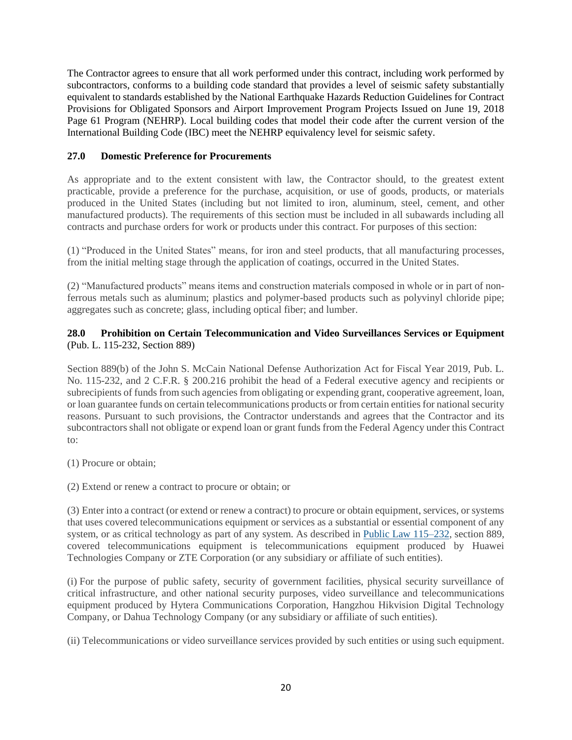The Contractor agrees to ensure that all work performed under this contract, including work performed by subcontractors, conforms to a building code standard that provides a level of seismic safety substantially equivalent to standards established by the National Earthquake Hazards Reduction Guidelines for Contract Provisions for Obligated Sponsors and Airport Improvement Program Projects Issued on June 19, 2018 Page 61 Program (NEHRP). Local building codes that model their code after the current version of the International Building Code (IBC) meet the NEHRP equivalency level for seismic safety.

### **27.0 Domestic Preference for Procurements**

As appropriate and to the extent consistent with law, the Contractor should, to the greatest extent practicable, provide a preference for the purchase, acquisition, or use of goods, products, or materials produced in the United States (including but not limited to iron, aluminum, steel, cement, and other manufactured products). The requirements of this section must be included in all subawards including all contracts and purchase orders for work or products under this contract. For purposes of this section:

(1) "Produced in the United States" means, for iron and steel products, that all manufacturing processes, from the initial melting stage through the application of coatings, occurred in the United States.

(2) "Manufactured products" means items and construction materials composed in whole or in part of nonferrous metals such as aluminum; plastics and polymer-based products such as polyvinyl chloride pipe; aggregates such as concrete; glass, including optical fiber; and lumber.

#### **28.0 Prohibition on Certain Telecommunication and Video Surveillances Services or Equipment**  (Pub. L. 115-232, Section 889)

Section 889(b) of the John S. McCain National Defense Authorization Act for Fiscal Year 2019, Pub. L. No. 115-232, and 2 C.F.R. § 200.216 prohibit the head of a Federal executive agency and recipients or subrecipients of funds from such agencies from obligating or expending grant, cooperative agreement, loan, or loan guarantee funds on certain telecommunications products or from certain entities for national security reasons. Pursuant to such provisions, the Contractor understands and agrees that the Contractor and its subcontractors shall not obligate or expend loan or grant funds from the Federal Agency under this Contract to:

(1) Procure or obtain;

(2) Extend or renew a contract to procure or obtain; or

(3) Enter into a contract (or extend or renew a contract) to procure or obtain equipment, services, or systems that uses covered telecommunications equipment or services as a substantial or essential component of any system, or as critical technology as part of any system. As described in Public Law [115–232,](https://1.next.westlaw.com/Link/Document/FullText?findType=l&pubNum=1077005&cite=UUID(I8268A4F099-B011E8B2A4A-B44E977C29C)&originatingDoc=N455EC040DD6E11EAA43FA59EB630F6E1&refType=SL&originationContext=document&transitionType=DocumentItem&ppcid=a8389e6cd43943e7bbb040be59a3b9b9&contextData=(sc.Keycite)) section 889, covered telecommunications equipment is telecommunications equipment produced by Huawei Technologies Company or ZTE Corporation (or any subsidiary or affiliate of such entities).

(i) For the purpose of public safety, security of government facilities, physical security surveillance of critical infrastructure, and other national security purposes, video surveillance and telecommunications equipment produced by Hytera Communications Corporation, Hangzhou Hikvision Digital Technology Company, or Dahua Technology Company (or any subsidiary or affiliate of such entities).

(ii) Telecommunications or video surveillance services provided by such entities or using such equipment.